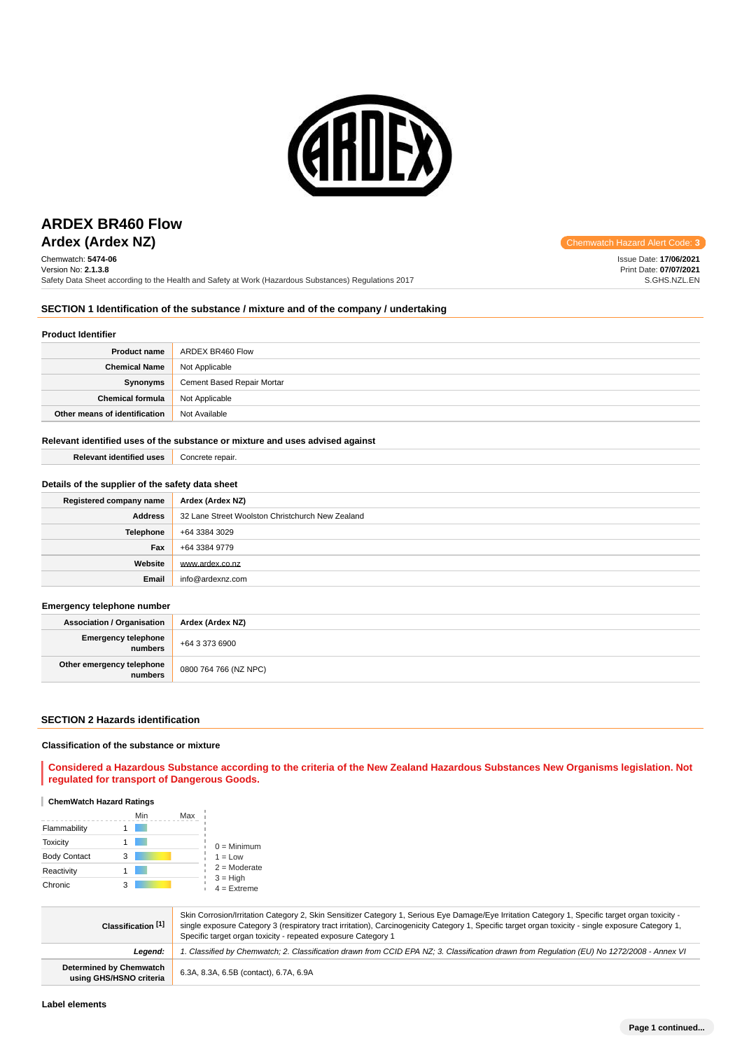

## **Ardex (Ardex NZ) Chemwatch Hazard Alert** Communication Controllering Communication Controllering Communication Controllering Controllering Controllering Controllering Controllering Controllering Controllering Controller **ARDEX BR460 Flow**

Chemwatch: **5474-06** Version No: **2.1.3.8** Safety Data Sheet according to the Health and Safety at Work (Hazardous Substances) Regulations 2017

Issue Date: **17/06/2021** Print Date: **07/07/2021** S.GHS.NZL.EN

### **SECTION 1 Identification of the substance / mixture and of the company / undertaking**

### **Product Identifier**

| <b>Product name</b>           | ARDEX BR460 Flow           |
|-------------------------------|----------------------------|
| <b>Chemical Name</b>          | Not Applicable             |
| Synonyms                      | Cement Based Repair Mortar |
| <b>Chemical formula</b>       | Not Applicable             |
| Other means of identification | Not Available              |

### **Relevant identified uses of the substance or mixture and uses advised against**

| <b>Relevant identified uses</b>                  | Concrete repair.                                 |  |
|--------------------------------------------------|--------------------------------------------------|--|
|                                                  |                                                  |  |
| Details of the supplier of the safety data sheet |                                                  |  |
| Registered company name                          | Ardex (Ardex NZ)                                 |  |
| <b>Address</b>                                   | 32 Lane Street Woolston Christchurch New Zealand |  |
| Telephone                                        | +64 3384 3029                                    |  |
| Fax                                              | +64 3384 9779                                    |  |
| Website                                          | www.ardex.co.nz                                  |  |
| Email                                            | info@ardexnz.com                                 |  |
|                                                  |                                                  |  |
| Emergency telephone number                       |                                                  |  |
| Association / Organisation                       | Ardex (Ardex NZ)                                 |  |

| <b>Association / Organisation</b>    | Ardex (Ardex NZ)      |
|--------------------------------------|-----------------------|
| Emergency telephone<br>numbers       | +64 3 373 6900        |
| Other emergency telephone<br>numbers | 0800 764 766 (NZ NPC) |

### **SECTION 2 Hazards identification**

### **Classification of the substance or mixture**

**Considered a Hazardous Substance according to the criteria of the New Zealand Hazardous Substances New Organisms legislation. Not regulated for transport of Dangerous Goods.**

### **ChemWatch Hazard Ratings**

|                     |   | Min | Max |                             |
|---------------------|---|-----|-----|-----------------------------|
| Flammability        |   |     |     |                             |
| <b>Toxicity</b>     |   |     |     | $0 =$ Minimum               |
| <b>Body Contact</b> | 3 |     |     | $1 = Low$                   |
| Reactivity          |   |     |     | $2 =$ Moderate              |
| Chronic             | 3 |     |     | $3 = High$<br>$4 =$ Extreme |

| Classification [1]                                 | Skin Corrosion/Irritation Category 2, Skin Sensitizer Category 1, Serious Eye Damage/Eye Irritation Category 1, Specific target organ toxicity -<br>single exposure Category 3 (respiratory tract irritation), Carcinogenicity Category 1, Specific target organ toxicity - single exposure Category 1,<br>Specific target organ toxicity - repeated exposure Category 1 |
|----------------------------------------------------|--------------------------------------------------------------------------------------------------------------------------------------------------------------------------------------------------------------------------------------------------------------------------------------------------------------------------------------------------------------------------|
| Leaend:                                            | 1. Classified by Chemwatch; 2. Classification drawn from CCID EPA NZ; 3. Classification drawn from Requlation (EU) No 1272/2008 - Annex VI                                                                                                                                                                                                                               |
| Determined by Chemwatch<br>using GHS/HSNO criteria | 6.3A, 8.3A, 6.5B (contact), 6.7A, 6.9A                                                                                                                                                                                                                                                                                                                                   |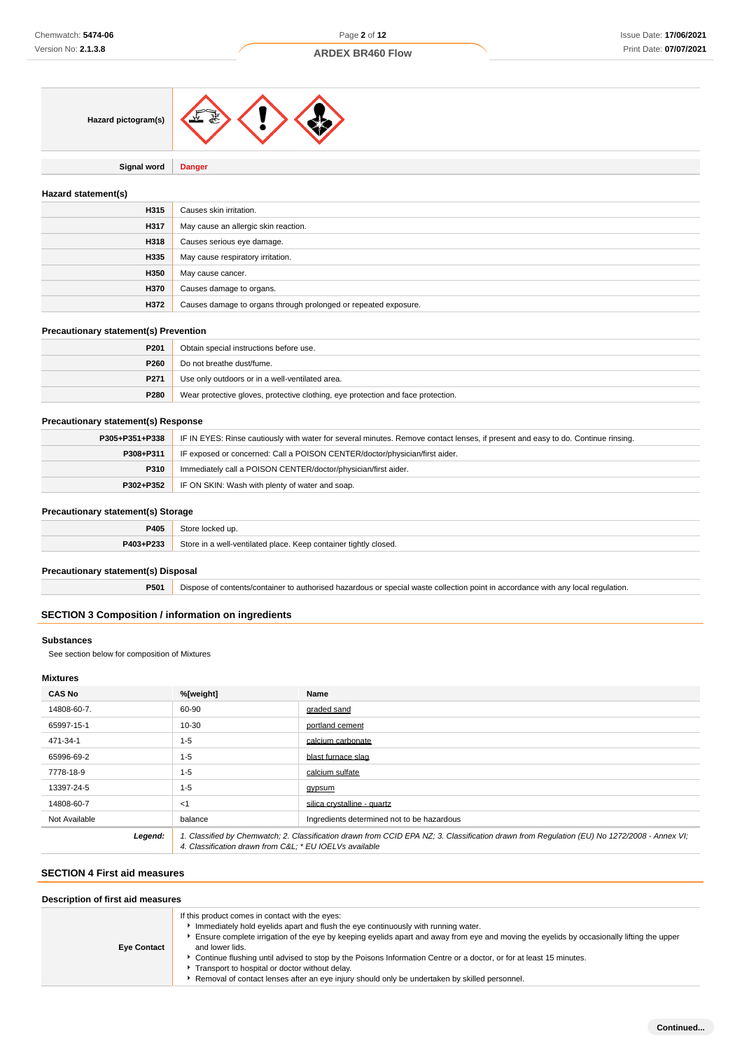

**Signal word Danger**

### **Hazard statement(s)**

| H315 | Causes skin irritation.                                         |
|------|-----------------------------------------------------------------|
| H317 | May cause an allergic skin reaction.                            |
| H318 | Causes serious eye damage.                                      |
| H335 | May cause respiratory irritation.                               |
| H350 | May cause cancer.                                               |
| H370 | Causes damage to organs.                                        |
| H372 | Causes damage to organs through prolonged or repeated exposure. |

### **Precautionary statement(s) Prevention**

| P <sub>201</sub> | Obtain special instructions before use.                                          |
|------------------|----------------------------------------------------------------------------------|
| P <sub>260</sub> | Do not breathe dust/fume.                                                        |
| P <sub>271</sub> | Use only outdoors or in a well-ventilated area.                                  |
| P280             | Wear protective gloves, protective clothing, eye protection and face protection. |

### **Precautionary statement(s) Response**

| P305+P351+P338 | IF IN EYES: Rinse cautiously with water for several minutes. Remove contact lenses, if present and easy to do. Continue rinsing. |
|----------------|----------------------------------------------------------------------------------------------------------------------------------|
| P308+P311      | IF exposed or concerned: Call a POISON CENTER/doctor/physician/first aider.                                                      |
| P310           | Immediately call a POISON CENTER/doctor/physician/first aider.                                                                   |
| P302+P352      | IF ON SKIN: Wash with plenty of water and soap.                                                                                  |

### **Precautionary statement(s) Storage**

| _____     |                                                                       |
|-----------|-----------------------------------------------------------------------|
| P405      | いもへい<br>d up.                                                         |
| P403+P233 | Store in a well-ventilated place. Keep container tightly closed.<br>. |

### **Precautionary statement(s) Disposal**

**P501** Dispose of contents/container to authorised hazardous or special waste collection point in accordance with any local regulation.

### **SECTION 3 Composition / information on ingredients**

### **Substances**

See section below for composition of Mixtures

### **Mixtures**

| <b>CAS No</b> | %[weight]                                                                                                                                                                                             | Name                                       |
|---------------|-------------------------------------------------------------------------------------------------------------------------------------------------------------------------------------------------------|--------------------------------------------|
| 14808-60-7.   | 60-90                                                                                                                                                                                                 | graded sand                                |
| 65997-15-1    | 10-30                                                                                                                                                                                                 | portland cement                            |
| 471-34-1      | $1 - 5$                                                                                                                                                                                               | calcium carbonate                          |
| 65996-69-2    | $1 - 5$                                                                                                                                                                                               | blast furnace slag                         |
| 7778-18-9     | $1 - 5$                                                                                                                                                                                               | calcium sulfate                            |
| 13397-24-5    | $1 - 5$                                                                                                                                                                                               | gypsum                                     |
| 14808-60-7    | $<$ 1                                                                                                                                                                                                 | silica crystalline - quartz                |
| Not Available | balance                                                                                                                                                                                               | Ingredients determined not to be hazardous |
| Legend:       | 1. Classified by Chemwatch; 2. Classification drawn from CCID EPA NZ; 3. Classification drawn from Requlation (EU) No 1272/2008 - Annex VI;<br>4. Classification drawn from C&L * EU IOELVs available |                                            |

### **SECTION 4 First aid measures**

| Description of first aid measures |                                                                                                                                                                                                                                                                                                                                                                                                                                                                                                                                                                               |  |  |
|-----------------------------------|-------------------------------------------------------------------------------------------------------------------------------------------------------------------------------------------------------------------------------------------------------------------------------------------------------------------------------------------------------------------------------------------------------------------------------------------------------------------------------------------------------------------------------------------------------------------------------|--|--|
| <b>Eye Contact</b>                | If this product comes in contact with the eyes:<br>Immediately hold eyelids apart and flush the eye continuously with running water.<br>Ensure complete irrigation of the eye by keeping eyelids apart and away from eye and moving the eyelids by occasionally lifting the upper<br>and lower lids.<br>Continue flushing until advised to stop by the Poisons Information Centre or a doctor, or for at least 15 minutes.<br>Transport to hospital or doctor without delay.<br>Removal of contact lenses after an eye injury should only be undertaken by skilled personnel. |  |  |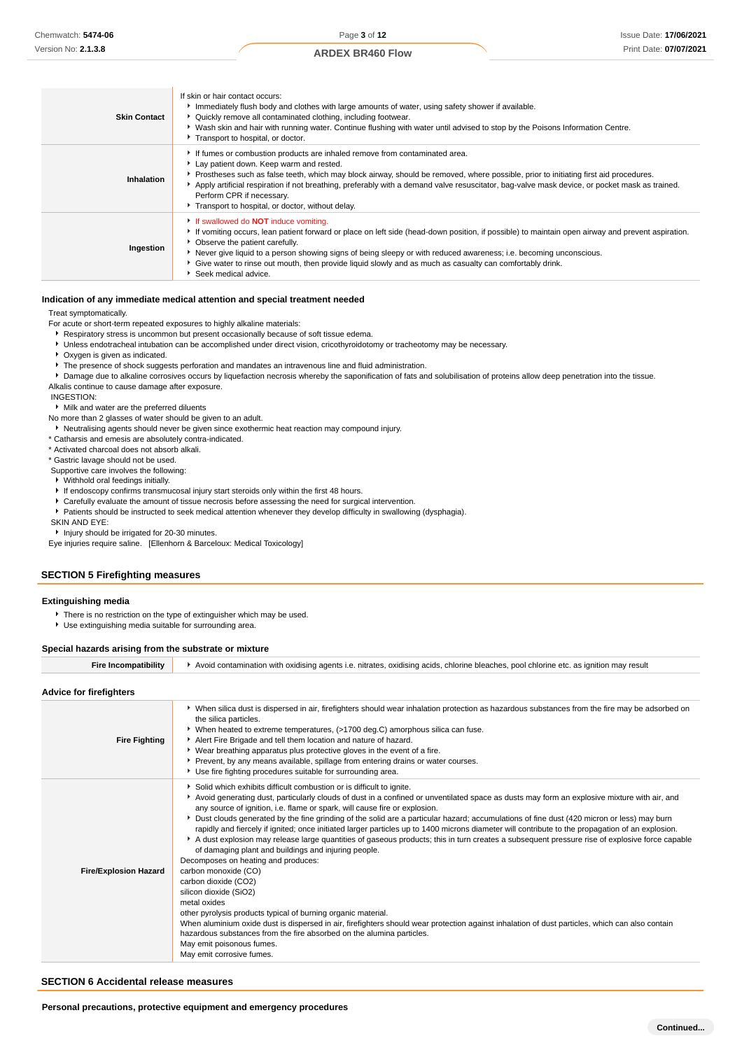| <b>Skin Contact</b> | If skin or hair contact occurs:<br>Immediately flush body and clothes with large amounts of water, using safety shower if available.<br>• Quickly remove all contaminated clothing, including footwear.<br>▶ Wash skin and hair with running water. Continue flushing with water until advised to stop by the Poisons Information Centre.<br>Transport to hospital, or doctor.                                                                                                                    |
|---------------------|---------------------------------------------------------------------------------------------------------------------------------------------------------------------------------------------------------------------------------------------------------------------------------------------------------------------------------------------------------------------------------------------------------------------------------------------------------------------------------------------------|
| Inhalation          | If fumes or combustion products are inhaled remove from contaminated area.<br>Lay patient down. Keep warm and rested.<br>▶ Prostheses such as false teeth, which may block airway, should be removed, where possible, prior to initiating first aid procedures.<br>Apply artificial respiration if not breathing, preferably with a demand valve resuscitator, bag-valve mask device, or pocket mask as trained.<br>Perform CPR if necessary.<br>Transport to hospital, or doctor, without delay. |
| Ingestion           | If swallowed do <b>NOT</b> induce vomiting.<br>If vomiting occurs, lean patient forward or place on left side (head-down position, if possible) to maintain open airway and prevent aspiration.<br>• Observe the patient carefully.<br>▶ Never give liquid to a person showing signs of being sleepy or with reduced awareness; i.e. becoming unconscious.<br>• Give water to rinse out mouth, then provide liquid slowly and as much as casualty can comfortably drink.<br>Seek medical advice.  |

#### **Indication of any immediate medical attention and special treatment needed**

Treat symptomatically.

For acute or short-term repeated exposures to highly alkaline materials:

Respiratory stress is uncommon but present occasionally because of soft tissue edema.

Unless endotracheal intubation can be accomplished under direct vision, cricothyroidotomy or tracheotomy may be necessary.

- Oxygen is given as indicated.
- The presence of shock suggests perforation and mandates an intravenous line and fluid administration.

**P** Damage due to alkaline corrosives occurs by liquefaction necrosis whereby the saponification of fats and solubilisation of proteins allow deep penetration into the tissue.

Alkalis continue to cause damage after exposure.

INGESTION:

Milk and water are the preferred diluents

No more than 2 glasses of water should be given to an adult.

Neutralising agents should never be given since exothermic heat reaction may compound injury.

\* Catharsis and emesis are absolutely contra-indicated.

\* Activated charcoal does not absorb alkali.

\* Gastric lavage should not be used.

Supportive care involves the following:

- Withhold oral feedings initially.
- If endoscopy confirms transmucosal injury start steroids only within the first 48 hours.

Carefully evaluate the amount of tissue necrosis before assessing the need for surgical intervention.

Patients should be instructed to seek medical attention whenever they develop difficulty in swallowing (dysphagia).

SKIN AND EYE:

**Injury should be irrigated for 20-30 minutes.** 

Eye injuries require saline. [Ellenhorn & Barceloux: Medical Toxicology]

## **SECTION 5 Firefighting measures**

#### **Extinguishing media**

There is no restriction on the type of extinguisher which may be used.

Use extinguishing media suitable for surrounding area.

#### **Special hazards arising from the substrate or mixture**

| Advice for firefighters      |                                                                                                                                                                                                                                                                                                                                                                                                                                                                                                                                                                                                                                                                                                                                                                                                                                                                                                                                                                                                                                                                                                                                                                                                                                                                                                       |
|------------------------------|-------------------------------------------------------------------------------------------------------------------------------------------------------------------------------------------------------------------------------------------------------------------------------------------------------------------------------------------------------------------------------------------------------------------------------------------------------------------------------------------------------------------------------------------------------------------------------------------------------------------------------------------------------------------------------------------------------------------------------------------------------------------------------------------------------------------------------------------------------------------------------------------------------------------------------------------------------------------------------------------------------------------------------------------------------------------------------------------------------------------------------------------------------------------------------------------------------------------------------------------------------------------------------------------------------|
| <b>Fire Fighting</b>         | ▶ When silica dust is dispersed in air, firefighters should wear inhalation protection as hazardous substances from the fire may be adsorbed on<br>the silica particles.<br>▶ When heated to extreme temperatures, (>1700 deg.C) amorphous silica can fuse.<br>Alert Fire Brigade and tell them location and nature of hazard.<br>• Wear breathing apparatus plus protective gloves in the event of a fire.<br>▶ Prevent, by any means available, spillage from entering drains or water courses.<br>Use fire fighting procedures suitable for surrounding area.                                                                                                                                                                                                                                                                                                                                                                                                                                                                                                                                                                                                                                                                                                                                      |
| <b>Fire/Explosion Hazard</b> | Solid which exhibits difficult combustion or is difficult to ignite.<br>Avoid generating dust, particularly clouds of dust in a confined or unventilated space as dusts may form an explosive mixture with air, and<br>any source of ignition, i.e. flame or spark, will cause fire or explosion.<br>> Dust clouds generated by the fine grinding of the solid are a particular hazard; accumulations of fine dust (420 micron or less) may burn<br>rapidly and fiercely if ignited; once initiated larger particles up to 1400 microns diameter will contribute to the propagation of an explosion.<br>A dust explosion may release large quantities of gaseous products; this in turn creates a subsequent pressure rise of explosive force capable<br>of damaging plant and buildings and injuring people.<br>Decomposes on heating and produces:<br>carbon monoxide (CO)<br>carbon dioxide (CO2)<br>silicon dioxide (SiO2)<br>metal oxides<br>other pyrolysis products typical of burning organic material.<br>When aluminium oxide dust is dispersed in air, firefighters should wear protection against inhalation of dust particles, which can also contain<br>hazardous substances from the fire absorbed on the alumina particles.<br>May emit poisonous fumes.<br>May emit corrosive fumes. |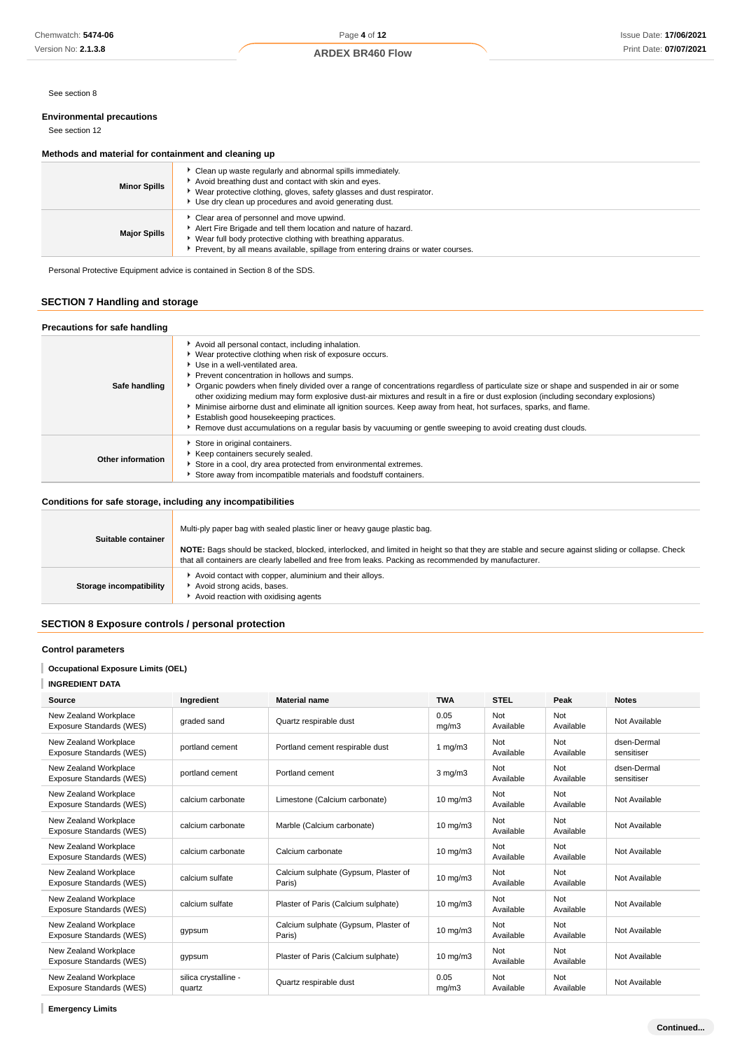See section 8

### **Environmental precautions**

See section 12

### **Methods and material for containment and cleaning up**

| <b>Minor Spills</b> | Clean up waste regularly and abnormal spills immediately.<br>Avoid breathing dust and contact with skin and eyes.<br>▶ Wear protective clothing, gloves, safety glasses and dust respirator.<br>Use dry clean up procedures and avoid generating dust.              |
|---------------------|---------------------------------------------------------------------------------------------------------------------------------------------------------------------------------------------------------------------------------------------------------------------|
| <b>Major Spills</b> | Clear area of personnel and move upwind.<br>Alert Fire Brigade and tell them location and nature of hazard.<br>• Wear full body protective clothing with breathing apparatus.<br>▶ Prevent, by all means available, spillage from entering drains or water courses. |

Personal Protective Equipment advice is contained in Section 8 of the SDS.

### **SECTION 7 Handling and storage**

| Precautions for safe handling |                                                                                                                                                                                                                                                                                                                                                                                                                                                                                                                                                                                                                                                                                                                                                                   |
|-------------------------------|-------------------------------------------------------------------------------------------------------------------------------------------------------------------------------------------------------------------------------------------------------------------------------------------------------------------------------------------------------------------------------------------------------------------------------------------------------------------------------------------------------------------------------------------------------------------------------------------------------------------------------------------------------------------------------------------------------------------------------------------------------------------|
| Safe handling                 | Avoid all personal contact, including inhalation.<br>▶ Wear protective clothing when risk of exposure occurs.<br>Use in a well-ventilated area.<br>Prevent concentration in hollows and sumps.<br>▶ Organic powders when finely divided over a range of concentrations regardless of particulate size or shape and suspended in air or some<br>other oxidizing medium may form explosive dust-air mixtures and result in a fire or dust explosion (including secondary explosions)<br>Minimise airborne dust and eliminate all ignition sources. Keep away from heat, hot surfaces, sparks, and flame.<br>Establish good housekeeping practices.<br>▶ Remove dust accumulations on a regular basis by vacuuming or gentle sweeping to avoid creating dust clouds. |
| Other information             | Store in original containers.<br>Keep containers securely sealed.<br>Store in a cool, dry area protected from environmental extremes.<br>Store away from incompatible materials and foodstuff containers.                                                                                                                                                                                                                                                                                                                                                                                                                                                                                                                                                         |

### **Conditions for safe storage, including any incompatibilities**

| Suitable container      | Multi-ply paper bag with sealed plastic liner or heavy gauge plastic bag.                                                                                                                                                                                |
|-------------------------|----------------------------------------------------------------------------------------------------------------------------------------------------------------------------------------------------------------------------------------------------------|
|                         | NOTE: Bags should be stacked, blocked, interlocked, and limited in height so that they are stable and secure against sliding or collapse. Check<br>that all containers are clearly labelled and free from leaks. Packing as recommended by manufacturer. |
| Storage incompatibility | Avoid contact with copper, aluminium and their alloys.<br>Avoid strong acids, bases.<br>Avoid reaction with oxidising agents                                                                                                                             |

### **SECTION 8 Exposure controls / personal protection**

### **Control parameters**

### **Occupational Exposure Limits (OEL)**

### **INGREDIENT DATA**

| <b>Source</b>                                     | Ingredient                     | <b>Material name</b>                           | <b>TWA</b>          | <b>STEL</b>      | Peak             | <b>Notes</b>              |
|---------------------------------------------------|--------------------------------|------------------------------------------------|---------------------|------------------|------------------|---------------------------|
| New Zealand Workplace<br>Exposure Standards (WES) | graded sand                    | Quartz respirable dust                         | 0.05<br>mg/m3       | Not<br>Available | Not<br>Available | Not Available             |
| New Zealand Workplace<br>Exposure Standards (WES) | portland cement                | Portland cement respirable dust                | 1 mg/m $3$          | Not<br>Available | Not<br>Available | dsen-Dermal<br>sensitiser |
| New Zealand Workplace<br>Exposure Standards (WES) | portland cement                | Portland cement                                | $3 \text{ mg/m}$    | Not<br>Available | Not<br>Available | dsen-Dermal<br>sensitiser |
| New Zealand Workplace<br>Exposure Standards (WES) | calcium carbonate              | Limestone (Calcium carbonate)                  | $10 \text{ mg/m}$   | Not<br>Available | Not<br>Available | Not Available             |
| New Zealand Workplace<br>Exposure Standards (WES) | calcium carbonate              | Marble (Calcium carbonate)                     | $10 \text{ mg/m}$   | Not<br>Available | Not<br>Available | Not Available             |
| New Zealand Workplace<br>Exposure Standards (WES) | calcium carbonate              | Calcium carbonate                              | $10 \text{ mg/m}$   | Not<br>Available | Not<br>Available | Not Available             |
| New Zealand Workplace<br>Exposure Standards (WES) | calcium sulfate                | Calcium sulphate (Gypsum, Plaster of<br>Paris) | $10 \text{ mg/m}$   | Not<br>Available | Not<br>Available | Not Available             |
| New Zealand Workplace<br>Exposure Standards (WES) | calcium sulfate                | Plaster of Paris (Calcium sulphate)            | $10 \text{ mg/m}$   | Not<br>Available | Not<br>Available | Not Available             |
| New Zealand Workplace<br>Exposure Standards (WES) | gypsum                         | Calcium sulphate (Gypsum, Plaster of<br>Paris) | $10 \text{ mg/m}$ 3 | Not<br>Available | Not<br>Available | Not Available             |
| New Zealand Workplace<br>Exposure Standards (WES) | gypsum                         | Plaster of Paris (Calcium sulphate)            | $10 \text{ mg/m}$   | Not<br>Available | Not<br>Available | Not Available             |
| New Zealand Workplace<br>Exposure Standards (WES) | silica crystalline -<br>quartz | Quartz respirable dust                         | 0.05<br>mq/m3       | Not<br>Available | Not<br>Available | Not Available             |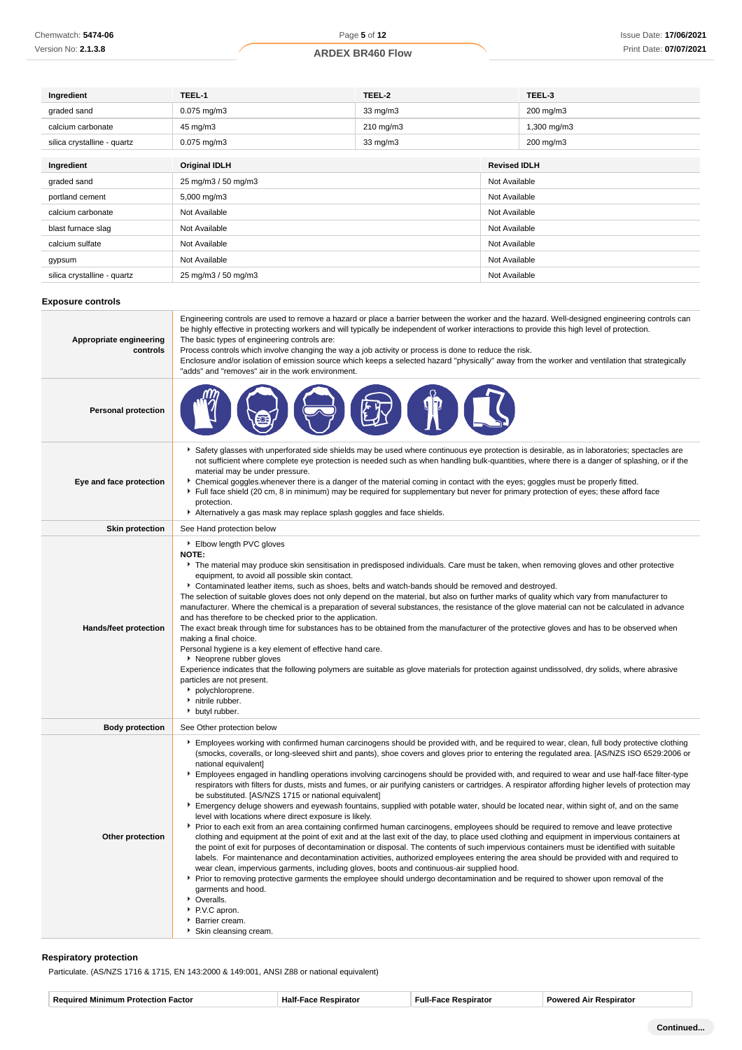| Ingredient                  | TEEL-1               | TEEL-2    |                     | TEEL-3        |  |
|-----------------------------|----------------------|-----------|---------------------|---------------|--|
| graded sand                 | $0.075$ mg/m $3$     | 33 mg/m3  |                     | 200 mg/m3     |  |
| calcium carbonate           | 45 mg/m3             | 210 mg/m3 |                     | 1,300 mg/m3   |  |
| silica crystalline - quartz | $0.075$ mg/m $3$     | 33 mg/m3  |                     | 200 mg/m3     |  |
|                             |                      |           |                     |               |  |
| Ingredient                  | <b>Original IDLH</b> |           | <b>Revised IDLH</b> |               |  |
| graded sand                 | 25 mg/m3 / 50 mg/m3  |           |                     | Not Available |  |
| portland cement             | 5,000 mg/m3          |           |                     | Not Available |  |
| calcium carbonate           | Not Available        |           | Not Available       |               |  |
| blast furnace slag          | Not Available        |           | Not Available       |               |  |
| calcium sulfate             | Not Available        |           | Not Available       |               |  |
| gypsum                      | Not Available        |           | Not Available       |               |  |
| silica crystalline - quartz | 25 mg/m3 / 50 mg/m3  |           | Not Available       |               |  |
|                             |                      |           |                     |               |  |

### **Exposure controls**

| Appropriate engineering<br>controls | Engineering controls are used to remove a hazard or place a barrier between the worker and the hazard. Well-designed engineering controls can<br>be highly effective in protecting workers and will typically be independent of worker interactions to provide this high level of protection.<br>The basic types of engineering controls are:<br>Process controls which involve changing the way a job activity or process is done to reduce the risk.<br>Enclosure and/or isolation of emission source which keeps a selected hazard "physically" away from the worker and ventilation that strategically<br>"adds" and "removes" air in the work environment.                                                                                                                                                                                                                                                                                                                                                                                                                                                                                                                                                                                                                                                                                                                                                                                                                                                                                                                                                                                                                                                                                                                                          |
|-------------------------------------|----------------------------------------------------------------------------------------------------------------------------------------------------------------------------------------------------------------------------------------------------------------------------------------------------------------------------------------------------------------------------------------------------------------------------------------------------------------------------------------------------------------------------------------------------------------------------------------------------------------------------------------------------------------------------------------------------------------------------------------------------------------------------------------------------------------------------------------------------------------------------------------------------------------------------------------------------------------------------------------------------------------------------------------------------------------------------------------------------------------------------------------------------------------------------------------------------------------------------------------------------------------------------------------------------------------------------------------------------------------------------------------------------------------------------------------------------------------------------------------------------------------------------------------------------------------------------------------------------------------------------------------------------------------------------------------------------------------------------------------------------------------------------------------------------------|
| <b>Personal protection</b>          |                                                                                                                                                                                                                                                                                                                                                                                                                                                                                                                                                                                                                                                                                                                                                                                                                                                                                                                                                                                                                                                                                                                                                                                                                                                                                                                                                                                                                                                                                                                                                                                                                                                                                                                                                                                                          |
| Eye and face protection             | Safety glasses with unperforated side shields may be used where continuous eye protection is desirable, as in laboratories; spectacles are<br>not sufficient where complete eye protection is needed such as when handling bulk-quantities, where there is a danger of splashing, or if the<br>material may be under pressure.<br>• Chemical goggles whenever there is a danger of the material coming in contact with the eyes; goggles must be properly fitted.<br>Full face shield (20 cm, 8 in minimum) may be required for supplementary but never for primary protection of eyes; these afford face<br>protection.<br>Alternatively a gas mask may replace splash goggles and face shields.                                                                                                                                                                                                                                                                                                                                                                                                                                                                                                                                                                                                                                                                                                                                                                                                                                                                                                                                                                                                                                                                                                        |
| <b>Skin protection</b>              | See Hand protection below                                                                                                                                                                                                                                                                                                                                                                                                                                                                                                                                                                                                                                                                                                                                                                                                                                                                                                                                                                                                                                                                                                                                                                                                                                                                                                                                                                                                                                                                                                                                                                                                                                                                                                                                                                                |
| <b>Hands/feet protection</b>        | Elbow length PVC gloves<br><b>NOTE:</b><br>The material may produce skin sensitisation in predisposed individuals. Care must be taken, when removing gloves and other protective<br>equipment, to avoid all possible skin contact.<br>Contaminated leather items, such as shoes, belts and watch-bands should be removed and destroyed.<br>The selection of suitable gloves does not only depend on the material, but also on further marks of quality which vary from manufacturer to<br>manufacturer. Where the chemical is a preparation of several substances, the resistance of the glove material can not be calculated in advance<br>and has therefore to be checked prior to the application.<br>The exact break through time for substances has to be obtained from the manufacturer of the protective gloves and has to be observed when<br>making a final choice.<br>Personal hygiene is a key element of effective hand care.<br>▶ Neoprene rubber gloves<br>Experience indicates that the following polymers are suitable as glove materials for protection against undissolved, dry solids, where abrasive<br>particles are not present.<br>polychloroprene.<br>initrile rubber.<br>butyl rubber.                                                                                                                                                                                                                                                                                                                                                                                                                                                                                                                                                                                          |
| <b>Body protection</b>              | See Other protection below                                                                                                                                                                                                                                                                                                                                                                                                                                                                                                                                                                                                                                                                                                                                                                                                                                                                                                                                                                                                                                                                                                                                                                                                                                                                                                                                                                                                                                                                                                                                                                                                                                                                                                                                                                               |
| Other protection                    | Employees working with confirmed human carcinogens should be provided with, and be required to wear, clean, full body protective clothing<br>(smocks, coveralls, or long-sleeved shirt and pants), shoe covers and gloves prior to entering the regulated area. [AS/NZS ISO 6529:2006 or<br>national equivalent]<br>Employees engaged in handling operations involving carcinogens should be provided with, and required to wear and use half-face filter-type<br>respirators with filters for dusts, mists and fumes, or air purifying canisters or cartridges. A respirator affording higher levels of protection may<br>be substituted. [AS/NZS 1715 or national equivalent]<br>Emergency deluge showers and eyewash fountains, supplied with potable water, should be located near, within sight of, and on the same<br>level with locations where direct exposure is likely.<br>▶ Prior to each exit from an area containing confirmed human carcinogens, employees should be required to remove and leave protective<br>clothing and equipment at the point of exit and at the last exit of the day, to place used clothing and equipment in impervious containers at<br>the point of exit for purposes of decontamination or disposal. The contents of such impervious containers must be identified with suitable<br>labels. For maintenance and decontamination activities, authorized employees entering the area should be provided with and required to<br>wear clean, impervious garments, including gloves, boots and continuous-air supplied hood.<br>▶ Prior to removing protective garments the employee should undergo decontamination and be required to shower upon removal of the<br>garments and hood.<br>• Overalls.<br>▶ P.V.C apron.<br>Barrier cream.<br>Skin cleansing cream. |

### **Respiratory protection**

Particulate. (AS/NZS 1716 & 1715, EN 143:2000 & 149:001, ANSI Z88 or national equivalent)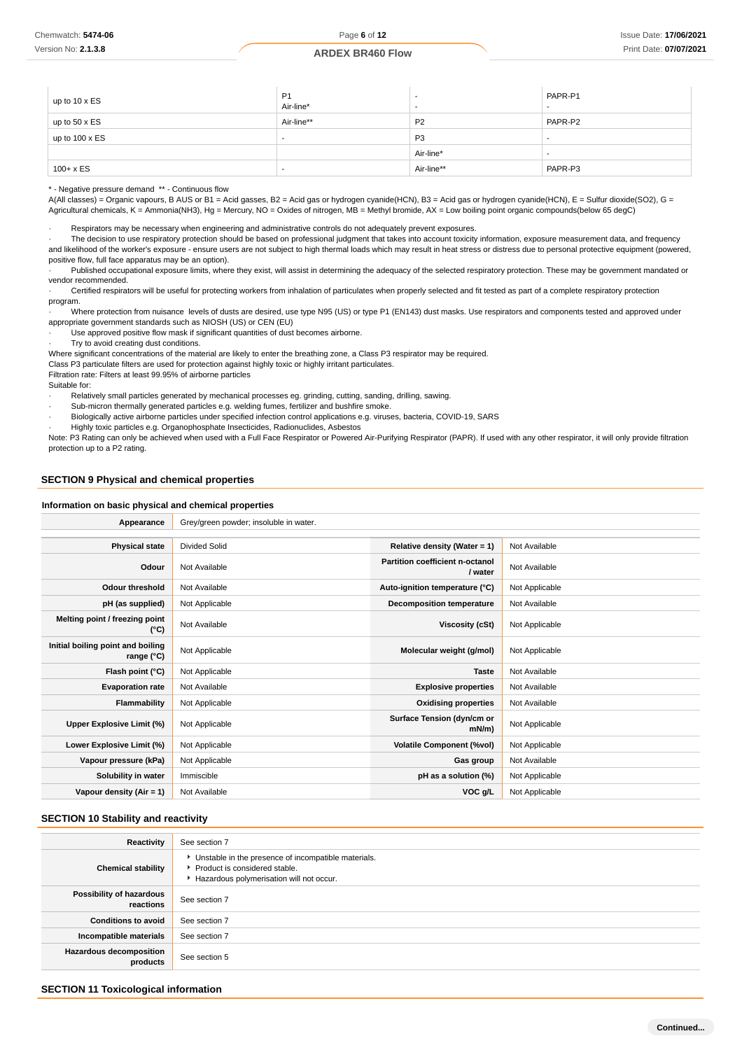| up to 10 x ES         | P <sub>1</sub><br>Air-line* | <br>$\overline{\phantom{a}}$ | PAPR-P1<br>$\overline{\phantom{a}}$ |
|-----------------------|-----------------------------|------------------------------|-------------------------------------|
| up to $50 \times ES$  | Air-line**                  | P <sub>2</sub>               | PAPR-P2                             |
| up to $100 \times ES$ | $\overline{\phantom{a}}$    | P <sub>3</sub>               |                                     |
|                       |                             | Air-line*                    | $\overline{\phantom{a}}$            |
| $100 + x ES$          |                             | Air-line**                   | PAPR-P3                             |

\* - Negative pressure demand \*\* - Continuous flow

A(All classes) = Organic vapours, B AUS or B1 = Acid gasses, B2 = Acid gas or hydrogen cyanide(HCN), B3 = Acid gas or hydrogen cyanide(HCN), E = Sulfur dioxide(SO2), G = Agricultural chemicals, K = Ammonia(NH3), Hg = Mercury, NO = Oxides of nitrogen, MB = Methyl bromide, AX = Low boiling point organic compounds(below 65 degC)

Respirators may be necessary when engineering and administrative controls do not adequately prevent exposures.

· The decision to use respiratory protection should be based on professional judgment that takes into account toxicity information, exposure measurement data, and frequency and likelihood of the worker's exposure - ensure users are not subject to high thermal loads which may result in heat stress or distress due to personal protective equipment (powered, positive flow, full face apparatus may be an option).

Published occupational exposure limits, where they exist, will assist in determining the adequacy of the selected respiratory protection. These may be government mandated or vendor recommended.

Certified respirators will be useful for protecting workers from inhalation of particulates when properly selected and fit tested as part of a complete respiratory protection program.

· Where protection from nuisance levels of dusts are desired, use type N95 (US) or type P1 (EN143) dust masks. Use respirators and components tested and approved under appropriate government standards such as NIOSH (US) or CEN (EU)

· Use approved positive flow mask if significant quantities of dust becomes airborne.

· Try to avoid creating dust conditions.

Where significant concentrations of the material are likely to enter the breathing zone, a Class P3 respirator may be required.

Class P3 particulate filters are used for protection against highly toxic or highly irritant particulates.

Filtration rate: Filters at least 99.95% of airborne particles

Suitable for:

Relatively small particles generated by mechanical processes eg. grinding, cutting, sanding, drilling, sawing.

· Sub-micron thermally generated particles e.g. welding fumes, fertilizer and bushfire smoke.

· Biologically active airborne particles under specified infection control applications e.g. viruses, bacteria, COVID-19, SARS

· Highly toxic particles e.g. Organophosphate Insecticides, Radionuclides, Asbestos

Note: P3 Rating can only be achieved when used with a Full Face Respirator or Powered Air-Purifying Respirator (PAPR). If used with any other respirator, it will only provide filtration protection up to a P2 rating.

### **SECTION 9 Physical and chemical properties**

#### **Information on basic physical and chemical properties**

| Appearance                                      | Grey/green powder; insoluble in water. |                                            |                |
|-------------------------------------------------|----------------------------------------|--------------------------------------------|----------------|
|                                                 |                                        |                                            |                |
| <b>Physical state</b>                           | <b>Divided Solid</b>                   | Relative density (Water = $1$ )            | Not Available  |
| Odour                                           | Not Available                          | Partition coefficient n-octanol<br>/ water | Not Available  |
| <b>Odour threshold</b>                          | Not Available                          | Auto-ignition temperature (°C)             | Not Applicable |
| pH (as supplied)                                | Not Applicable                         | Decomposition temperature                  | Not Available  |
| Melting point / freezing point<br>(°C)          | Not Available                          | Viscosity (cSt)                            | Not Applicable |
| Initial boiling point and boiling<br>range (°C) | Not Applicable                         | Molecular weight (g/mol)                   | Not Applicable |
| Flash point (°C)                                | Not Applicable                         | <b>Taste</b>                               | Not Available  |
| <b>Evaporation rate</b>                         | Not Available                          | <b>Explosive properties</b>                | Not Available  |
| Flammability                                    | Not Applicable                         | <b>Oxidising properties</b>                | Not Available  |
| Upper Explosive Limit (%)                       | Not Applicable                         | Surface Tension (dyn/cm or<br>$mN/m$ )     | Not Applicable |
| Lower Explosive Limit (%)                       | Not Applicable                         | <b>Volatile Component (%vol)</b>           | Not Applicable |
| Vapour pressure (kPa)                           | Not Applicable                         | Gas group                                  | Not Available  |
| Solubility in water                             | Immiscible                             | pH as a solution (%)                       | Not Applicable |
| Vapour density (Air = 1)                        | Not Available                          | VOC g/L                                    | Not Applicable |

#### **SECTION 10 Stability and reactivity**

| Reactivity                            | See section 7                                                                                                                        |
|---------------------------------------|--------------------------------------------------------------------------------------------------------------------------------------|
| <b>Chemical stability</b>             | • Unstable in the presence of incompatible materials.<br>▶ Product is considered stable.<br>Hazardous polymerisation will not occur. |
| Possibility of hazardous<br>reactions | See section 7                                                                                                                        |
| <b>Conditions to avoid</b>            | See section 7                                                                                                                        |
| Incompatible materials                | See section 7                                                                                                                        |
| Hazardous decomposition<br>products   | See section 5                                                                                                                        |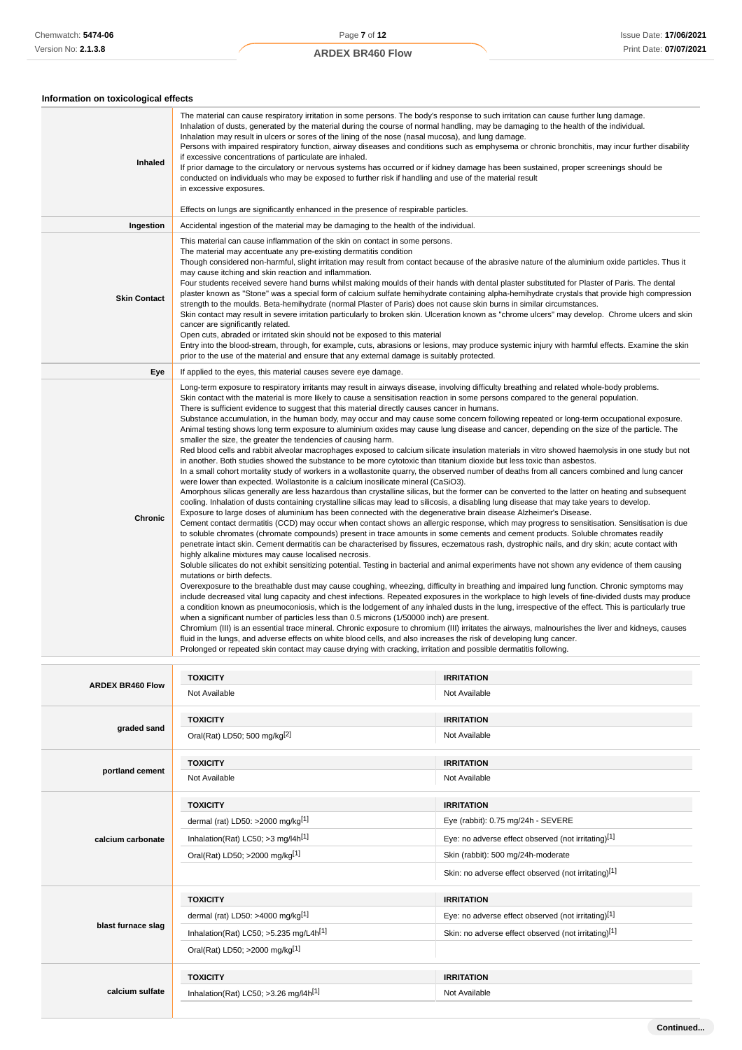### **Information on toxicological effects**

| mormanon on toxicological enects<br>Inhaled | The material can cause respiratory irritation in some persons. The body's response to such irritation can cause further lung damage.<br>Inhalation of dusts, generated by the material during the course of normal handling, may be damaging to the health of the individual.<br>Inhalation may result in ulcers or sores of the lining of the nose (nasal mucosa), and lung damage.<br>Persons with impaired respiratory function, airway diseases and conditions such as emphysema or chronic bronchitis, may incur further disability<br>if excessive concentrations of particulate are inhaled.<br>If prior damage to the circulatory or nervous systems has occurred or if kidney damage has been sustained, proper screenings should be<br>conducted on individuals who may be exposed to further risk if handling and use of the material result<br>in excessive exposures.<br>Effects on lungs are significantly enhanced in the presence of respirable particles.                                                                                                                                                                                                                                                                                                                                                                                                                                                                                                                                                                                                                                                                                                                                                                                                                                                                                                                                                                                                                                                                                                                                                                                                                                                                                                                                                                                                                                                                                                                                                                                                                                                                                                                                                                                                                                                                                                                                                                                                                                                                                                                                                                                                                                                                                                                                                      |
|---------------------------------------------|---------------------------------------------------------------------------------------------------------------------------------------------------------------------------------------------------------------------------------------------------------------------------------------------------------------------------------------------------------------------------------------------------------------------------------------------------------------------------------------------------------------------------------------------------------------------------------------------------------------------------------------------------------------------------------------------------------------------------------------------------------------------------------------------------------------------------------------------------------------------------------------------------------------------------------------------------------------------------------------------------------------------------------------------------------------------------------------------------------------------------------------------------------------------------------------------------------------------------------------------------------------------------------------------------------------------------------------------------------------------------------------------------------------------------------------------------------------------------------------------------------------------------------------------------------------------------------------------------------------------------------------------------------------------------------------------------------------------------------------------------------------------------------------------------------------------------------------------------------------------------------------------------------------------------------------------------------------------------------------------------------------------------------------------------------------------------------------------------------------------------------------------------------------------------------------------------------------------------------------------------------------------------------------------------------------------------------------------------------------------------------------------------------------------------------------------------------------------------------------------------------------------------------------------------------------------------------------------------------------------------------------------------------------------------------------------------------------------------------------------------------------------------------------------------------------------------------------------------------------------------------------------------------------------------------------------------------------------------------------------------------------------------------------------------------------------------------------------------------------------------------------------------------------------------------------------------------------------------------------------------------------------------------------------------------------------------------|
| Ingestion                                   | Accidental ingestion of the material may be damaging to the health of the individual.                                                                                                                                                                                                                                                                                                                                                                                                                                                                                                                                                                                                                                                                                                                                                                                                                                                                                                                                                                                                                                                                                                                                                                                                                                                                                                                                                                                                                                                                                                                                                                                                                                                                                                                                                                                                                                                                                                                                                                                                                                                                                                                                                                                                                                                                                                                                                                                                                                                                                                                                                                                                                                                                                                                                                                                                                                                                                                                                                                                                                                                                                                                                                                                                                                           |
| <b>Skin Contact</b>                         | This material can cause inflammation of the skin on contact in some persons.<br>The material may accentuate any pre-existing dermatitis condition<br>Though considered non-harmful, slight irritation may result from contact because of the abrasive nature of the aluminium oxide particles. Thus it<br>may cause itching and skin reaction and inflammation.<br>Four students received severe hand burns whilst making moulds of their hands with dental plaster substituted for Plaster of Paris. The dental<br>plaster known as "Stone" was a special form of calcium sulfate hemihydrate containing alpha-hemihydrate crystals that provide high compression<br>strength to the moulds. Beta-hemihydrate (normal Plaster of Paris) does not cause skin burns in similar circumstances.<br>Skin contact may result in severe irritation particularly to broken skin. Ulceration known as "chrome ulcers" may develop. Chrome ulcers and skin<br>cancer are significantly related.<br>Open cuts, abraded or irritated skin should not be exposed to this material<br>Entry into the blood-stream, through, for example, cuts, abrasions or lesions, may produce systemic injury with harmful effects. Examine the skin<br>prior to the use of the material and ensure that any external damage is suitably protected.                                                                                                                                                                                                                                                                                                                                                                                                                                                                                                                                                                                                                                                                                                                                                                                                                                                                                                                                                                                                                                                                                                                                                                                                                                                                                                                                                                                                                                                                                                                                                                                                                                                                                                                                                                                                                                                                                                                                                                                                       |
| Eye                                         | If applied to the eyes, this material causes severe eye damage.                                                                                                                                                                                                                                                                                                                                                                                                                                                                                                                                                                                                                                                                                                                                                                                                                                                                                                                                                                                                                                                                                                                                                                                                                                                                                                                                                                                                                                                                                                                                                                                                                                                                                                                                                                                                                                                                                                                                                                                                                                                                                                                                                                                                                                                                                                                                                                                                                                                                                                                                                                                                                                                                                                                                                                                                                                                                                                                                                                                                                                                                                                                                                                                                                                                                 |
| Chronic                                     | Long-term exposure to respiratory irritants may result in airways disease, involving difficulty breathing and related whole-body problems.<br>Skin contact with the material is more likely to cause a sensitisation reaction in some persons compared to the general population.<br>There is sufficient evidence to suggest that this material directly causes cancer in humans.<br>Substance accumulation, in the human body, may occur and may cause some concern following repeated or long-term occupational exposure.<br>Animal testing shows long term exposure to aluminium oxides may cause lung disease and cancer, depending on the size of the particle. The<br>smaller the size, the greater the tendencies of causing harm.<br>Red blood cells and rabbit alveolar macrophages exposed to calcium silicate insulation materials in vitro showed haemolysis in one study but not<br>in another. Both studies showed the substance to be more cytotoxic than titanium dioxide but less toxic than asbestos.<br>In a small cohort mortality study of workers in a wollastonite quarry, the observed number of deaths from all cancers combined and lung cancer<br>were lower than expected. Wollastonite is a calcium inosilicate mineral (CaSiO3).<br>Amorphous silicas generally are less hazardous than crystalline silicas, but the former can be converted to the latter on heating and subsequent<br>cooling. Inhalation of dusts containing crystalline silicas may lead to silicosis, a disabling lung disease that may take years to develop.<br>Exposure to large doses of aluminium has been connected with the degenerative brain disease Alzheimer's Disease.<br>Cement contact dermatitis (CCD) may occur when contact shows an allergic response, which may progress to sensitisation. Sensitisation is due<br>to soluble chromates (chromate compounds) present in trace amounts in some cements and cement products. Soluble chromates readily<br>penetrate intact skin. Cement dermatitis can be characterised by fissures, eczematous rash, dystrophic nails, and dry skin; acute contact with<br>highly alkaline mixtures may cause localised necrosis.<br>Soluble silicates do not exhibit sensitizing potential. Testing in bacterial and animal experiments have not shown any evidence of them causing<br>mutations or birth defects.<br>Overexposure to the breathable dust may cause coughing, wheezing, difficulty in breathing and impaired lung function. Chronic symptoms may<br>include decreased vital lung capacity and chest infections. Repeated exposures in the workplace to high levels of fine-divided dusts may produce<br>a condition known as pneumoconiosis, which is the lodgement of any inhaled dusts in the lung, irrespective of the effect. This is particularly true<br>when a significant number of particles less than 0.5 microns (1/50000 inch) are present.<br>Chromium (III) is an essential trace mineral. Chronic exposure to chromium (III) irritates the airways, malnourishes the liver and kidneys, causes<br>fluid in the lungs, and adverse effects on white blood cells, and also increases the risk of developing lung cancer.<br>Prolonged or repeated skin contact may cause drying with cracking, irritation and possible dermatitis following. |
|                                             | <b>TOXICITY</b><br><b>IRRITATION</b>                                                                                                                                                                                                                                                                                                                                                                                                                                                                                                                                                                                                                                                                                                                                                                                                                                                                                                                                                                                                                                                                                                                                                                                                                                                                                                                                                                                                                                                                                                                                                                                                                                                                                                                                                                                                                                                                                                                                                                                                                                                                                                                                                                                                                                                                                                                                                                                                                                                                                                                                                                                                                                                                                                                                                                                                                                                                                                                                                                                                                                                                                                                                                                                                                                                                                            |

| <b>ARDEX BR460 Flow</b> | <b>TOXICITY</b>                                      | <b>IRRITATION</b>                                    |
|-------------------------|------------------------------------------------------|------------------------------------------------------|
|                         | Not Available                                        | Not Available                                        |
|                         | <b>TOXICITY</b>                                      | <b>IRRITATION</b>                                    |
| graded sand             | Oral(Rat) LD50; 500 mg/kg <sup>[2]</sup>             | Not Available                                        |
|                         | <b>TOXICITY</b>                                      | <b>IRRITATION</b>                                    |
| portland cement         | Not Available                                        | Not Available                                        |
|                         | <b>TOXICITY</b>                                      | <b>IRRITATION</b>                                    |
|                         | dermal (rat) LD50: >2000 mg/kg <sup>[1]</sup>        | Eye (rabbit): 0.75 mg/24h - SEVERE                   |
| calcium carbonate       | Inhalation(Rat) LC50; $>3$ mg/l4h <sup>[1]</sup>     | Eye: no adverse effect observed (not irritating)[1]  |
|                         | Oral(Rat) LD50; >2000 mg/kg[1]                       | Skin (rabbit): 500 mg/24h-moderate                   |
|                         |                                                      | Skin: no adverse effect observed (not irritating)[1] |
|                         | <b>TOXICITY</b>                                      | <b>IRRITATION</b>                                    |
|                         | dermal (rat) LD50: >4000 mg/kg <sup>[1]</sup>        | Eye: no adverse effect observed (not irritating)[1]  |
| blast furnace slag      | Inhalation(Rat) LC50; $>5.235$ mg/L4h <sup>[1]</sup> | Skin: no adverse effect observed (not irritating)[1] |
|                         | Oral(Rat) LD50; >2000 mg/kg[1]                       |                                                      |
|                         | <b>TOXICITY</b>                                      | <b>IRRITATION</b>                                    |
| calcium sulfate         | Inhalation(Rat) LC50; $>3.26$ mg/l4h <sup>[1]</sup>  | Not Available                                        |
|                         |                                                      |                                                      |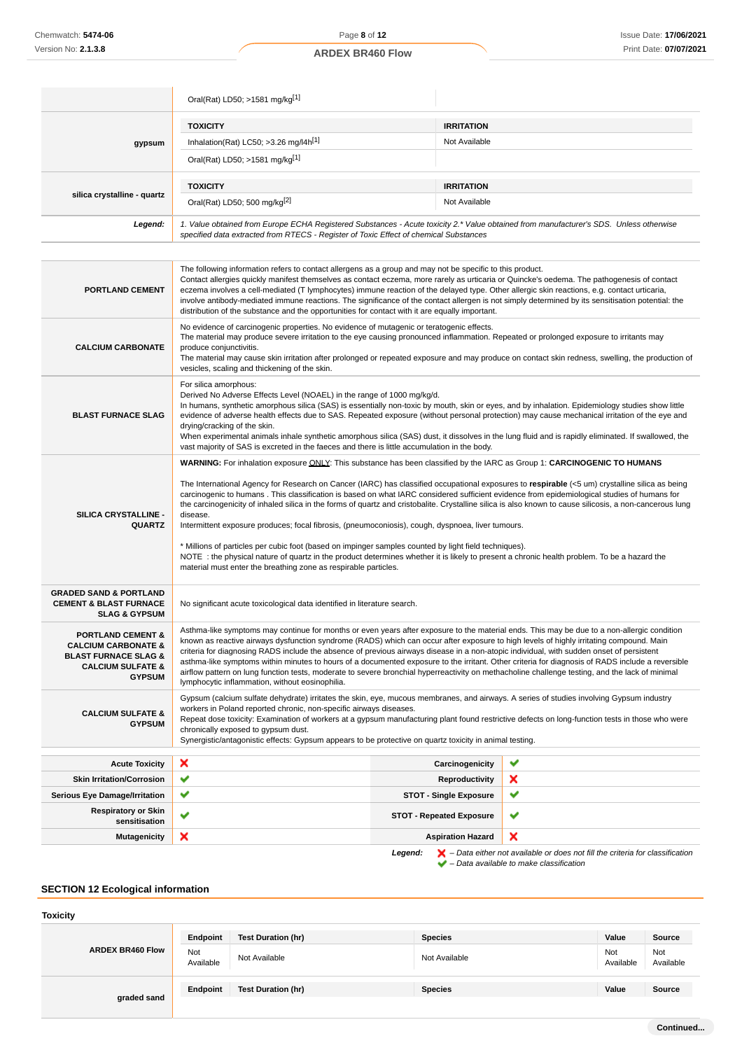#### Oral(Rat) LD50; >1581 mg/kg[1] **gypsum TOXICITY IRRITATION** Inhalation(Rat) LC50;  $>3.26$  mg/l4h<sup>[1]</sup> Not Available Oral(Rat) LD50; >1581 mg/kg[1] **silica crystalline - quartz TOXICITY IRRITATION** Oral(Rat) LD50; 500 mg/kg<sup>[2]</sup> Not Available **Legend:** 1. Value obtained from Europe ECHA Registered Substances - Acute toxicity 2.\* Value obtained from manufacturer's SDS. Unless otherwise specified data extracted from RTECS - Register of Toxic Effect of chemical Substances **PORTLAND CEMENT** The following information refers to contact allergens as a group and may not be specific to this product. Contact allergies quickly manifest themselves as contact eczema, more rarely as urticaria or Quincke's oedema. The pathogenesis of contact eczema involves a cell-mediated (T lymphocytes) immune reaction of the delayed type. Other allergic skin reactions, e.g. contact urticaria, involve antibody-mediated immune reactions. The significance of the contact allergen is not simply determined by its sensitisation potential: the distribution of the substance and the opportunities for contact with it are equally important. **CALCIUM CARBONATE** No evidence of carcinogenic properties. No evidence of mutagenic or teratogenic effects. The material may produce severe irritation to the eye causing pronounced inflammation. Repeated or prolonged exposure to irritants may produce conjunctivitis. The material may cause skin irritation after prolonged or repeated exposure and may produce on contact skin redness, swelling, the production of vesicles, scaling and thickening of the skin. **BLAST FURNACE SLAG** For silica amorphous: Derived No Adverse Effects Level (NOAEL) in the range of 1000 mg/kg/d. In humans, synthetic amorphous silica (SAS) is essentially non-toxic by mouth, skin or eyes, and by inhalation. Epidemiology studies show little evidence of adverse health effects due to SAS. Repeated exposure (without personal protection) may cause mechanical irritation of the eye and drying/cracking of the skin. When experimental animals inhale synthetic amorphous silica (SAS) dust, it dissolves in the lung fluid and is rapidly eliminated. If swallowed, the vast majority of SAS is excreted in the faeces and there is little accumulation in the body. **SILICA CRYSTALLINE - QUARTZ WARNING:** For inhalation exposure ONLY: This substance has been classified by the IARC as Group 1: **CARCINOGENIC TO HUMANS** The International Agency for Research on Cancer (IARC) has classified occupational exposures to **respirable** (<5 um) crystalline silica as being carcinogenic to humans . This classification is based on what IARC considered sufficient evidence from epidemiological studies of humans for the carcinogenicity of inhaled silica in the forms of quartz and cristobalite. Crystalline silica is also known to cause silicosis, a non-cancerous lung disease. Intermittent exposure produces; focal fibrosis, (pneumoconiosis), cough, dyspnoea, liver tumours. \* Millions of particles per cubic foot (based on impinger samples counted by light field techniques). NOTE : the physical nature of quartz in the product determines whether it is likely to present a chronic health problem. To be a hazard the material must enter the breathing zone as respirable particles. **GRADED SAND & PORTLAND CEMENT & BLAST FURNACE SLAG & GYPSUM** No significant acute toxicological data identified in literature search. **PORTLAND CEMENT & CALCIUM CARBONATE & BLAST FURNACE SLAG & CALCIUM SULFATE & GYPSUM** Asthma-like symptoms may continue for months or even years after exposure to the material ends. This may be due to a non-allergic condition known as reactive airways dysfunction syndrome (RADS) which can occur after exposure to high levels of highly irritating compound. Main criteria for diagnosing RADS include the absence of previous airways disease in a non-atopic individual, with sudden onset of persistent asthma-like symptoms within minutes to hours of a documented exposure to the irritant. Other criteria for diagnosis of RADS include a reversible airflow pattern on lung function tests, moderate to severe bronchial hyperreactivity on methacholine challenge testing, and the lack of minimal lymphocytic inflammation, without eosinophilia. **CALCIUM SULFATE &** Gypsum (calcium sulfate dehydrate) irritates the skin, eye, mucous membranes, and airways. A series of studies involving Gypsum industry workers in Poland reported chronic, non-specific airways diseases.

**GYPSUM** Repeat dose toxicity: Examination of workers at a gypsum manufacturing plant found restrictive defects on long-function tests in those who were chronically exposed to gypsum dust. Synergistic/antagonistic effects: Gypsum appears to be protective on quartz toxicity in animal testing.

| <b>Acute Toxicity</b>                                                                                         | $\boldsymbol{\mathsf{x}}$ | Carcinogenicity                 | w                         |
|---------------------------------------------------------------------------------------------------------------|---------------------------|---------------------------------|---------------------------|
| <b>Skin Irritation/Corrosion</b>                                                                              | $\checkmark$              | Reproductivity                  | ×                         |
| <b>Serious Eye Damage/Irritation</b>                                                                          | $\checkmark$              | <b>STOT - Single Exposure</b>   | v                         |
| <b>Respiratory or Skin</b><br>sensitisation                                                                   | $\checkmark$              | <b>STOT - Repeated Exposure</b> | v                         |
| <b>Mutagenicity</b>                                                                                           | ×                         | <b>Aspiration Hazard</b>        | $\boldsymbol{\mathsf{x}}$ |
| $\blacktriangleright$ - Data either not available or does not fill the criteria for classification<br>Legend: |                           |                                 |                           |

 $\blacktriangleright$  – Data available to make classification

### **SECTION 12 Ecological information**

| <b>Toxicity</b>         |                  |                           |                |                  |                  |
|-------------------------|------------------|---------------------------|----------------|------------------|------------------|
| <b>ARDEX BR460 Flow</b> | Endpoint         | Test Duration (hr)        | <b>Species</b> | Value            | Source           |
|                         | Not<br>Available | Not Available             | Not Available  | Not<br>Available | Not<br>Available |
| graded sand             | Endpoint         | <b>Test Duration (hr)</b> | <b>Species</b> | Value            | Source           |
|                         |                  |                           |                |                  |                  |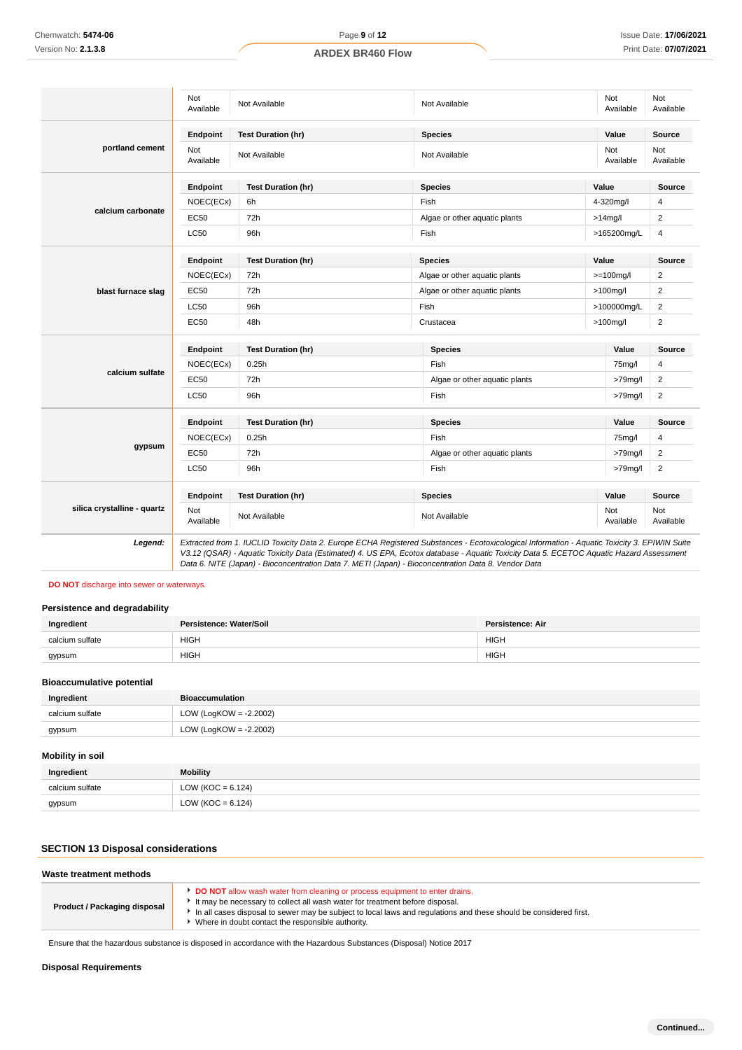# Not<br>Available Not Not Not Available Not Available Not Available Not Available Not Available Not Available Not Ava Available Not Available **portland cement Endpoint Test Duration (hr) Species Value Source** Not<br>Available Not Not Available Not Available Not Available Not Available Not Available Not Ava<br>Available Ava Available Not Available **calcium carbonate Endpoint Test Duration (hr) Species Value Source**  $NOEC(ECx)$  6h Fish Fish Fish 4-320mg/l 4 EC50 72h 2  $LC50$  96h Fish  $>165200$ mg/L 4 **blast furnace slag Endpoint Test Duration (hr) Species Value Source** NOEC(ECx) 72h **Algae or other aquatic plants** >=100mg/l 2 EC50 72h 2  $LC50$  96h Fish Fish  $>100000$ mg/L 2 EC50 48h Crustacea 2 **calcium sulfate Endpoint Test Duration (hr) Species Value Source** NOEC(ECx) 0.25h Fish 75mg/l 4 EC50 72h Algae or other aquatic plants >79mg/l 2 LC50 96h Fish >79mg/l 2 **gypsum Endpoint Test Duration (hr) Species Value Source** NOEC(ECx) 0.25h Fish 75mg/l 4 EC50 72h 72h 2 LC50 96h Fish >79mg/l 2 **silica crystalline - quartz Endpoint Test Duration (hr) Species Value Source** Not Not Not Not Available Not Available Not Available Not Available Not Available Not Available Not Ava Available Not Available **Legend:** Extracted from 1. IUCLID Toxicity Data 2. Europe ECHA Registered Substances - Ecotoxicological Information - Aquatic Toxicity 3. EPIWIN Suite V3.12 (QSAR) - Aquatic Toxicity Data (Estimated) 4. US EPA, Ecotox database - Aquatic Toxicity Data 5. ECETOC Aquatic Hazard Assessment Data 6. NITE (Japan) - Bioconcentration Data 7. METI (Japan) - Bioconcentration Data 8. Vendor Data Chemwatch: **5474-06**<br>
Version No: 2.1.3.8<br>
Version No: 2.1.3.8<br> **Dispose Section No: 2.1.3.8**<br> **Dispose Section and Algerian Calcium s**<br> **Disposal Algerian Section Section Section Section Section Section Section Section Se**

### **DO NOT** discharge into sewer or waterways.

### **Persistence and degradability**

| Ingredient      | Persistence: Water/Soil | Persistence: Air |
|-----------------|-------------------------|------------------|
| calcium sulfate | <b>HIGH</b>             | <b>HIGH</b>      |
| gypsum          | <b>HIGH</b>             | <b>HIGH</b>      |

#### **Bioaccumulative potential**

| Ingredient      | <b>Bioaccumulation</b>    |
|-----------------|---------------------------|
| calcium sulfate | LOW (LogKOW = $-2.2002$ ) |
| gypsum          | LOW (LogKOW = -2.2002)    |

### **Mobility in soil**

| Ingredient      | <b>Mobility</b>       |
|-----------------|-----------------------|
| calcium sulfate | LOW (KOC = $6.124$ )  |
| gypsum          | LOW ( $KOC = 6.124$ ) |

### **SECTION 13 Disposal considerations**

| Waste treatment methods      |                                                                                                                                                                                                                                                                                                                                       |
|------------------------------|---------------------------------------------------------------------------------------------------------------------------------------------------------------------------------------------------------------------------------------------------------------------------------------------------------------------------------------|
| Product / Packaging disposal | DO NOT allow wash water from cleaning or process equipment to enter drains.<br>It may be necessary to collect all wash water for treatment before disposal.<br>In all cases disposal to sewer may be subject to local laws and requlations and these should be considered first.<br>Where in doubt contact the responsible authority. |

Ensure that the hazardous substance is disposed in accordance with the Hazardous Substances (Disposal) Notice 2017

### **Disposal Requirements**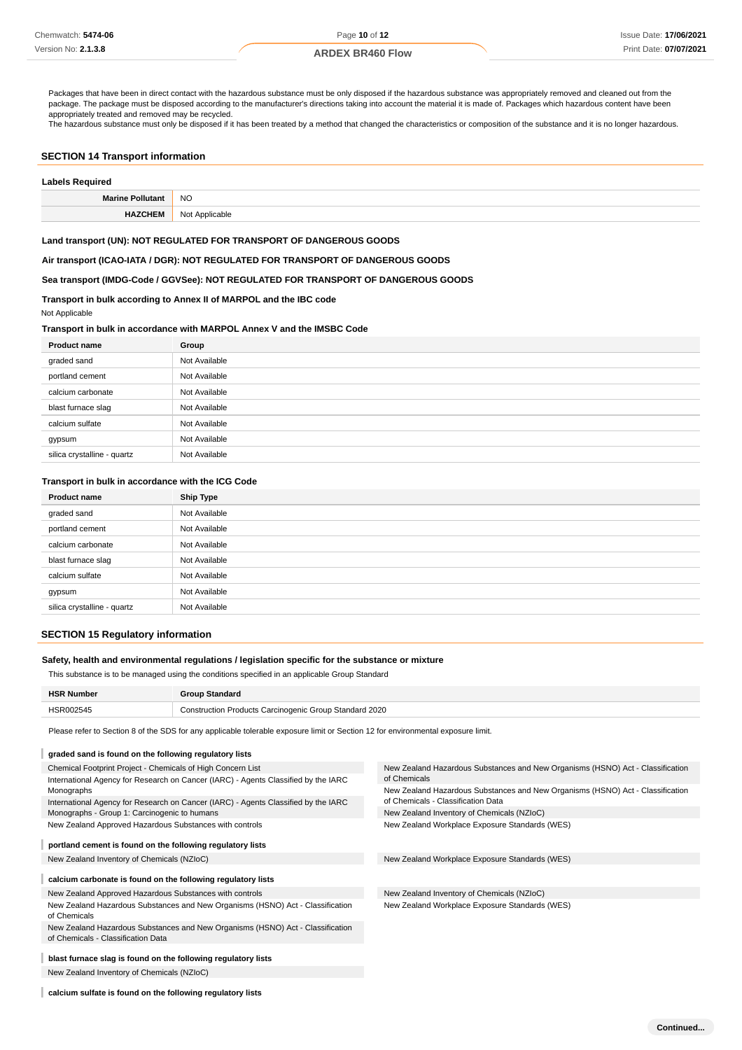Packages that have been in direct contact with the hazardous substance must be only disposed if the hazardous substance was appropriately removed and cleaned out from the package. The package must be disposed according to the manufacturer's directions taking into account the material it is made of. Packages which hazardous content have been appropriately treated and removed may be recycled.

The hazardous substance must only be disposed if it has been treated by a method that changed the characteristics or composition of the substance and it is no longer hazardous.

### **SECTION 14 Transport information**

| <b>Labels Required</b> |                     |  |
|------------------------|---------------------|--|
| Marino Polli           | <b>NO</b>           |  |
| 1EN                    | Not<br>: Applicable |  |

#### **Land transport (UN): NOT REGULATED FOR TRANSPORT OF DANGEROUS GOODS**

**Air transport (ICAO-IATA / DGR): NOT REGULATED FOR TRANSPORT OF DANGEROUS GOODS**

### **Sea transport (IMDG-Code / GGVSee): NOT REGULATED FOR TRANSPORT OF DANGEROUS GOODS**

### **Transport in bulk according to Annex II of MARPOL and the IBC code**

Not Applicable

### **Transport in bulk in accordance with MARPOL Annex V and the IMSBC Code**

| <b>Product name</b>         | Group         |
|-----------------------------|---------------|
| graded sand                 | Not Available |
| portland cement             | Not Available |
| calcium carbonate           | Not Available |
| blast furnace slag          | Not Available |
| calcium sulfate             | Not Available |
| gypsum                      | Not Available |
| silica crystalline - quartz | Not Available |

#### **Transport in bulk in accordance with the ICG Code**

| <b>Product name</b>         | Ship Type     |
|-----------------------------|---------------|
| graded sand                 | Not Available |
| portland cement             | Not Available |
| calcium carbonate           | Not Available |
| blast furnace slag          | Not Available |
| calcium sulfate             | Not Available |
| gypsum                      | Not Available |
| silica crystalline - quartz | Not Available |

### **SECTION 15 Regulatory information**

### **Safety, health and environmental regulations / legislation specific for the substance or mixture**

This substance is to be managed using the conditions specified in an applicable Group Standard

| <b>HSR Number</b> | <b>Group Standard</b>                                         |
|-------------------|---------------------------------------------------------------|
| HSR002545         | <b>Construction Products Carcinogenic Group Standard 2020</b> |

Please refer to Section 8 of the SDS for any applicable tolerable exposure limit or Section 12 for environmental exposure limit.

| graded sand is found on the following regulatory lists                             |                                                                                                                                                                    |  |  |
|------------------------------------------------------------------------------------|--------------------------------------------------------------------------------------------------------------------------------------------------------------------|--|--|
| Chemical Footprint Project - Chemicals of High Concern List                        | New Zealand Hazardous Substances and New Organisms (HSNO) Act - Classification                                                                                     |  |  |
| International Agency for Research on Cancer (IARC) - Agents Classified by the IARC | of Chemicals                                                                                                                                                       |  |  |
| Monographs                                                                         | New Zealand Hazardous Substances and New Organisms (HSNO) Act - Classification<br>of Chemicals - Classification Data<br>New Zealand Inventory of Chemicals (NZIoC) |  |  |
| International Agency for Research on Cancer (IARC) - Agents Classified by the IARC |                                                                                                                                                                    |  |  |
| Monographs - Group 1: Carcinogenic to humans                                       |                                                                                                                                                                    |  |  |
| New Zealand Approved Hazardous Substances with controls                            | New Zealand Workplace Exposure Standards (WES)                                                                                                                     |  |  |
| portland cement is found on the following regulatory lists                         |                                                                                                                                                                    |  |  |
|                                                                                    |                                                                                                                                                                    |  |  |
| New Zealand Inventory of Chemicals (NZIoC)                                         | New Zealand Workplace Exposure Standards (WES)                                                                                                                     |  |  |
| calcium carbonate is found on the following regulatory lists                       |                                                                                                                                                                    |  |  |
| New Zealand Approved Hazardous Substances with controls                            | New Zealand Inventory of Chemicals (NZIoC)                                                                                                                         |  |  |
| New Zealand Hazardous Substances and New Organisms (HSNO) Act - Classification     | New Zealand Workplace Exposure Standards (WES)                                                                                                                     |  |  |
| of Chemicals                                                                       |                                                                                                                                                                    |  |  |
| New Zealand Hazardous Substances and New Organisms (HSNO) Act - Classification     |                                                                                                                                                                    |  |  |
| of Chemicals - Classification Data                                                 |                                                                                                                                                                    |  |  |
| blast furnace slag is found on the following regulatory lists                      |                                                                                                                                                                    |  |  |
| New Zealand Inventory of Chemicals (NZIoC)                                         |                                                                                                                                                                    |  |  |
|                                                                                    |                                                                                                                                                                    |  |  |

**calcium sulfate is found on the following regulatory lists**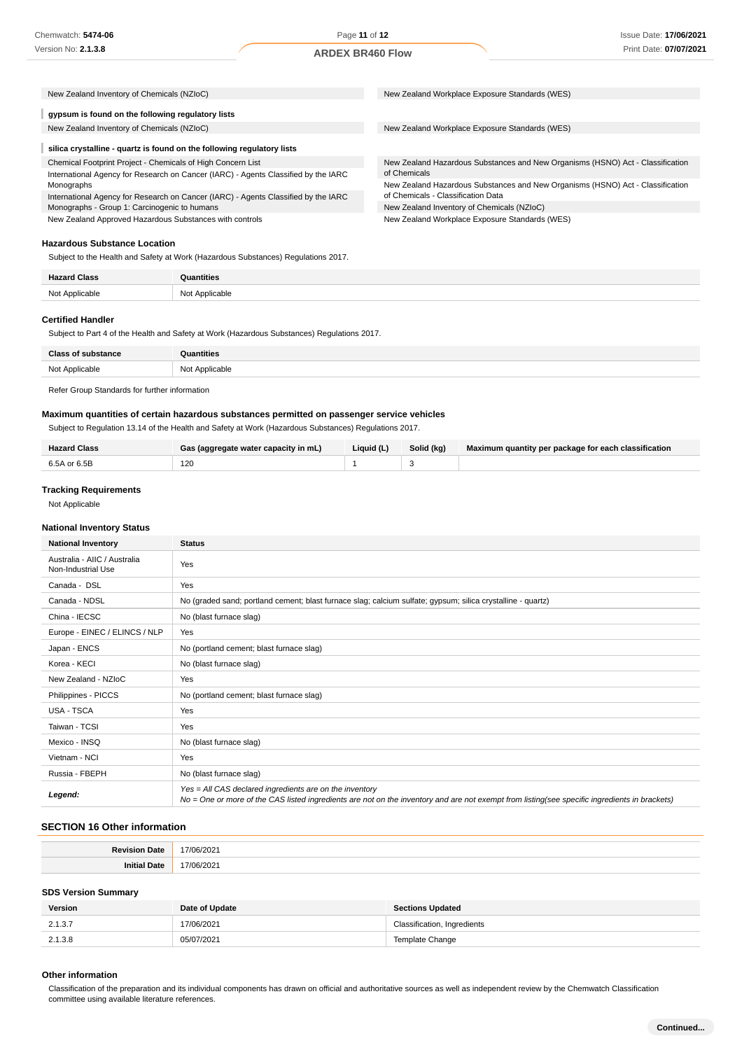New Zealand Hazardous Substances and New Organisms (HSNO) Act - Classification

New Zealand Hazardous Substances and New Organisms (HSNO) Act - Classification

| New Zealand Inventory of Chemicals (NZIoC) |  | New Zealand Workplace Exposure Standards (WES) |  |
|--------------------------------------------|--|------------------------------------------------|--|
|--------------------------------------------|--|------------------------------------------------|--|

### **gypsum is found on the following regulatory lists**

New Zealand Inventory of Chemicals (NZIoC) New Zealand Workplace Exposure Standards (WES)

#### ı **silica crystalline - quartz is found on the following regulatory lists**

Chemical Footprint Project - Chemicals of High Concern List International Agency for Research on Cancer (IARC) - Agents Classified by the IARC Monographs International Agency for Research on Cancer (IARC) - Agents Classified by the IARC

Monographs - Group 1: Carcinogenic to humans New Zealand Approved Hazardous Substances with controls

**Hazardous Substance Location**

Subject to the Health and Safety at Work (Hazardous Substances) Regulations 2017.

| <b>''</b><br>14.55 | tities        |
|--------------------|---------------|
| . .<br>.           | N∩t<br>.<br>. |

of Chemicals

of Chemicals - Classification Data New Zealand Inventory of Chemicals (NZIoC) New Zealand Workplace Exposure Standards (WES)

### **Certified Handler**

Subject to Part 4 of the Health and Safety at Work (Hazardous Substances) Regulations 2017.

| $C = C$        | <b>antities</b> |
|----------------|-----------------|
| Not Applicable | Not Applicable  |
|                |                 |

#### Refer Group Standards for further information

### **Maximum quantities of certain hazardous substances permitted on passenger service vehicles**

Subject to Regulation 13.14 of the Health and Safety at Work (Hazardous Substances) Regulations 2017.

| <b>Hazard Class</b> | Gas (aggregate water capacity in mL) | Liquid (L) | Solid (kg) | Maximum quantity per package for each classification |
|---------------------|--------------------------------------|------------|------------|------------------------------------------------------|
| 6.5A or 6.5B        | 120                                  |            |            |                                                      |

#### **Tracking Requirements**

Not Applicable

#### **National Inventory Status**

| <b>National Inventory</b>                          | <b>Status</b>                                                                                                                                                                                            |  |
|----------------------------------------------------|----------------------------------------------------------------------------------------------------------------------------------------------------------------------------------------------------------|--|
| Australia - AIIC / Australia<br>Non-Industrial Use | Yes                                                                                                                                                                                                      |  |
| Canada - DSL                                       | Yes                                                                                                                                                                                                      |  |
| Canada - NDSL                                      | No (graded sand; portland cement; blast furnace slag; calcium sulfate; gypsum; silica crystalline - quartz)                                                                                              |  |
| China - IECSC                                      | No (blast furnace slag)                                                                                                                                                                                  |  |
| Europe - EINEC / ELINCS / NLP                      | Yes                                                                                                                                                                                                      |  |
| Japan - ENCS                                       | No (portland cement; blast furnace slag)                                                                                                                                                                 |  |
| Korea - KECI                                       | No (blast furnace slag)                                                                                                                                                                                  |  |
| New Zealand - NZIoC                                | Yes                                                                                                                                                                                                      |  |
| Philippines - PICCS                                | No (portland cement; blast furnace slag)                                                                                                                                                                 |  |
| USA - TSCA                                         | Yes                                                                                                                                                                                                      |  |
| Taiwan - TCSI                                      | Yes                                                                                                                                                                                                      |  |
| Mexico - INSQ                                      | No (blast furnace slag)                                                                                                                                                                                  |  |
| Vietnam - NCI                                      | Yes                                                                                                                                                                                                      |  |
| Russia - FBEPH                                     | No (blast furnace slag)                                                                                                                                                                                  |  |
| Legend:                                            | Yes = All CAS declared ingredients are on the inventory<br>No = One or more of the CAS listed ingredients are not on the inventory and are not exempt from listing(see specific ingredients in brackets) |  |

### **SECTION 16 Other information**

| D <sub>o</sub> | 202   |
|----------------|-------|
| Date           | 17/   |
| امنغنما        | /2021 |
| l Date         | 17h   |

### **SDS Version Summary**

| <b>Version</b> | Date of Update | <b>Sections Updated</b>     |
|----------------|----------------|-----------------------------|
| 2.1.3.7        | 17/06/2021     | Classification, Ingredients |
| 2.1.3.8        | 05/07/2021     | Template Change             |

#### **Other information**

Classification of the preparation and its individual components has drawn on official and authoritative sources as well as independent review by the Chemwatch Classification committee using available literature references.